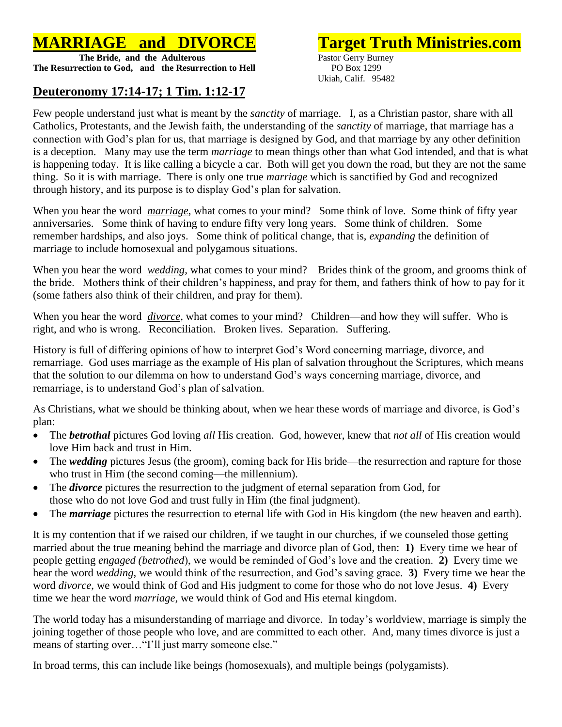## **MARRIAGE and DIVORCE Target Truth Ministries.com**

**The Bride, and the Adulterous** Pastor Gerry Burney **The Resurrection to God, and the Resurrection to Hell** PO Box 1299

## **Deuteronomy 17:14-17; 1 Tim. 1:12-17**

Ukiah, Calif. 95482

Few people understand just what is meant by the *sanctity* of marriage. I, as a Christian pastor, share with all Catholics, Protestants, and the Jewish faith, the understanding of the *sanctity* of marriage, that marriage has a connection with God's plan for us, that marriage is designed by God, and that marriage by any other definition is a deception. Many may use the term *marriage* to mean things other than what God intended, and that is what is happening today. It is like calling a bicycle a car. Both will get you down the road, but they are not the same thing. So it is with marriage. There is only one true *marriage* which is sanctified by God and recognized through history, and its purpose is to display God's plan for salvation.

When you hear the word *marriage*, what comes to your mind? Some think of love. Some think of fifty year anniversaries. Some think of having to endure fifty very long years. Some think of children. Some remember hardships, and also joys. Some think of political change, that is, *expanding* the definition of marriage to include homosexual and polygamous situations.

When you hear the word *wedding*, what comes to your mind? Brides think of the groom, and grooms think of the bride. Mothers think of their children's happiness, and pray for them, and fathers think of how to pay for it (some fathers also think of their children, and pray for them).

When you hear the word *divorce*, what comes to your mind? Children—and how they will suffer. Who is right, and who is wrong. Reconciliation. Broken lives. Separation. Suffering.

History is full of differing opinions of how to interpret God's Word concerning marriage, divorce, and remarriage. God uses marriage as the example of His plan of salvation throughout the Scriptures, which means that the solution to our dilemma on how to understand God's ways concerning marriage, divorce, and remarriage, is to understand God's plan of salvation.

As Christians, what we should be thinking about, when we hear these words of marriage and divorce, is God's plan:

- The *betrothal* pictures God loving *all* His creation. God, however, knew that *not all* of His creation would love Him back and trust in Him.
- The *wedding* pictures Jesus (the groom), coming back for His bride—the resurrection and rapture for those who trust in Him (the second coming—the millennium).
- The *divorce* pictures the resurrection to the judgment of eternal separation from God, for those who do not love God and trust fully in Him (the final judgment).
- The *marriage* pictures the resurrection to eternal life with God in His kingdom (the new heaven and earth).

It is my contention that if we raised our children, if we taught in our churches, if we counseled those getting married about the true meaning behind the marriage and divorce plan of God, then: **1)** Every time we hear of people getting *engaged (betrothed*), we would be reminded of God's love and the creation. **2)** Every time we hear the word *wedding,* we would think of the resurrection, and God's saving grace. **3)** Every time we hear the word *divorce*, we would think of God and His judgment to come for those who do not love Jesus. **4)** Every time we hear the word *marriage,* we would think of God and His eternal kingdom.

The world today has a misunderstanding of marriage and divorce. In today's worldview, marriage is simply the joining together of those people who love, and are committed to each other. And, many times divorce is just a means of starting over... "I'll just marry someone else."

In broad terms, this can include like beings (homosexuals), and multiple beings (polygamists).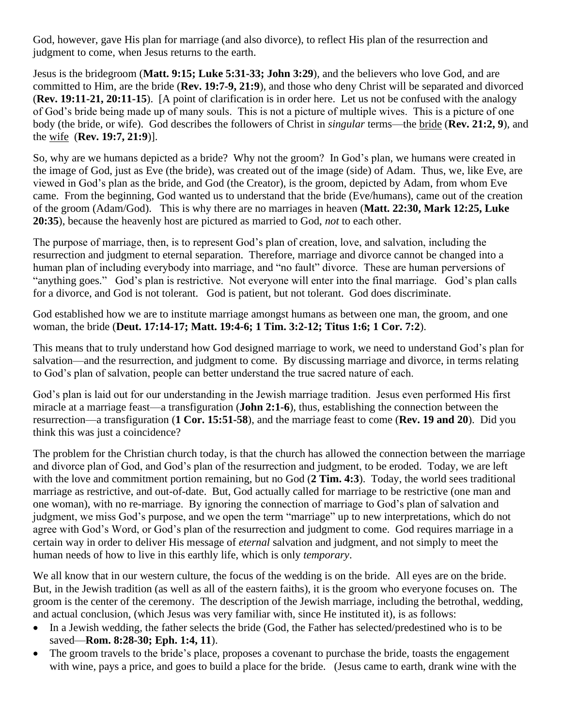God, however, gave His plan for marriage (and also divorce), to reflect His plan of the resurrection and judgment to come, when Jesus returns to the earth.

Jesus is the bridegroom (**Matt. 9:15; Luke 5:31-33; John 3:29**), and the believers who love God, and are committed to Him, are the bride (**Rev. 19:7-9, 21:9**), and those who deny Christ will be separated and divorced (**Rev. 19:11-21, 20:11-15**). [A point of clarification is in order here. Let us not be confused with the analogy of God's bride being made up of many souls. This is not a picture of multiple wives. This is a picture of one body (the bride, or wife). God describes the followers of Christ in *singular* terms—the bride (**Rev. 21:2, 9**), and the wife (**Rev. 19:7, 21:9**)].

So, why are we humans depicted as a bride? Why not the groom? In God's plan, we humans were created in the image of God, just as Eve (the bride), was created out of the image (side) of Adam. Thus, we, like Eve, are viewed in God's plan as the bride, and God (the Creator), is the groom, depicted by Adam, from whom Eve came. From the beginning, God wanted us to understand that the bride (Eve/humans), came out of the creation of the groom (Adam/God). This is why there are no marriages in heaven (**Matt. 22:30, Mark 12:25, Luke 20:35**), because the heavenly host are pictured as married to God, *not* to each other.

The purpose of marriage, then, is to represent God's plan of creation, love, and salvation, including the resurrection and judgment to eternal separation. Therefore, marriage and divorce cannot be changed into a human plan of including everybody into marriage, and "no fault" divorce. These are human perversions of "anything goes." God's plan is restrictive. Not everyone will enter into the final marriage. God's plan calls for a divorce, and God is not tolerant. God is patient, but not tolerant. God does discriminate.

God established how we are to institute marriage amongst humans as between one man, the groom, and one woman, the bride (**Deut. 17:14-17; Matt. 19:4-6; 1 Tim. 3:2-12; Titus 1:6; 1 Cor. 7:2**).

This means that to truly understand how God designed marriage to work, we need to understand God's plan for salvation—and the resurrection, and judgment to come. By discussing marriage and divorce, in terms relating to God's plan of salvation, people can better understand the true sacred nature of each.

God's plan is laid out for our understanding in the Jewish marriage tradition. Jesus even performed His first miracle at a marriage feast—a transfiguration (**John 2:1-6**), thus, establishing the connection between the resurrection—a transfiguration (**1 Cor. 15:51-58**), and the marriage feast to come (**Rev. 19 and 20**). Did you think this was just a coincidence?

The problem for the Christian church today, is that the church has allowed the connection between the marriage and divorce plan of God, and God's plan of the resurrection and judgment, to be eroded. Today, we are left with the love and commitment portion remaining, but no God (2 Tim. 4:3). Today, the world sees traditional marriage as restrictive, and out-of-date. But, God actually called for marriage to be restrictive (one man and one woman), with no re-marriage. By ignoring the connection of marriage to God's plan of salvation and judgment, we miss God's purpose, and we open the term "marriage" up to new interpretations, which do not agree with God's Word, or God's plan of the resurrection and judgment to come. God requires marriage in a certain way in order to deliver His message of *eternal* salvation and judgment, and not simply to meet the human needs of how to live in this earthly life, which is only *temporary*.

We all know that in our western culture, the focus of the wedding is on the bride. All eyes are on the bride. But, in the Jewish tradition (as well as all of the eastern faiths), it is the groom who everyone focuses on. The groom is the center of the ceremony. The description of the Jewish marriage, including the betrothal, wedding, and actual conclusion, (which Jesus was very familiar with, since He instituted it), is as follows:

- In a Jewish wedding, the father selects the bride (God, the Father has selected/predestined who is to be saved—**Rom. 8:28-30; Eph. 1:4, 11**).
- The groom travels to the bride's place, proposes a covenant to purchase the bride, toasts the engagement with wine, pays a price, and goes to build a place for the bride. (Jesus came to earth, drank wine with the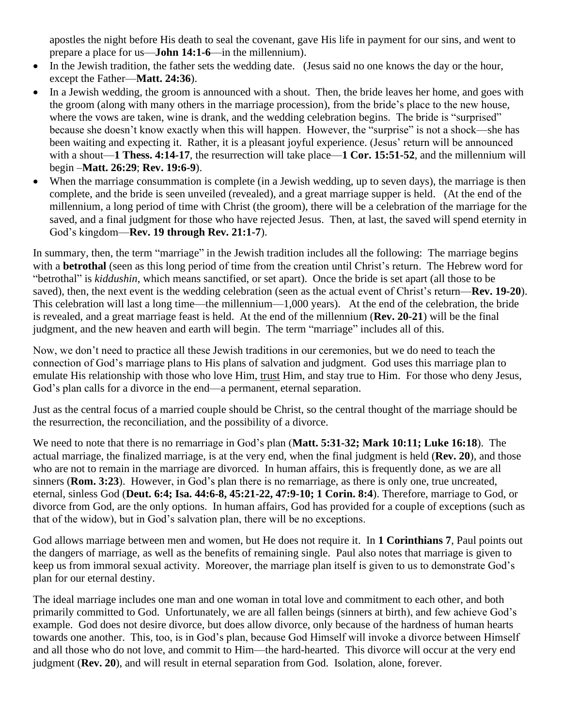apostles the night before His death to seal the covenant, gave His life in payment for our sins, and went to prepare a place for us—**John 14:1-6**—in the millennium).

- In the Jewish tradition, the father sets the wedding date. (Jesus said no one knows the day or the hour, except the Father—**Matt. 24:36**).
- In a Jewish wedding, the groom is announced with a shout. Then, the bride leaves her home, and goes with the groom (along with many others in the marriage procession), from the bride's place to the new house, where the vows are taken, wine is drank, and the wedding celebration begins. The bride is "surprised" because she doesn't know exactly when this will happen. However, the "surprise" is not a shock—she has been waiting and expecting it. Rather, it is a pleasant joyful experience. (Jesus' return will be announced with a shout—1 Thess. 4:14-17, the resurrection will take place—1 Cor. 15:51-52, and the millennium will begin –**Matt. 26:29**; **Rev. 19:6-9**).
- When the marriage consummation is complete (in a Jewish wedding, up to seven days), the marriage is then complete, and the bride is seen unveiled (revealed), and a great marriage supper is held. (At the end of the millennium, a long period of time with Christ (the groom), there will be a celebration of the marriage for the saved, and a final judgment for those who have rejected Jesus. Then, at last, the saved will spend eternity in God's kingdom—**Rev. 19 through Rev. 21:1-7**).

In summary, then, the term "marriage" in the Jewish tradition includes all the following: The marriage begins with a **betrothal** (seen as this long period of time from the creation until Christ's return. The Hebrew word for "betrothal" is *kiddushin*, which means sanctified, or set apart). Once the bride is set apart (all those to be saved), then, the next event is the wedding celebration (seen as the actual event of Christ's return—**Rev. 19-20**). This celebration will last a long time—the millennium—1,000 years). At the end of the celebration, the bride is revealed, and a great marriage feast is held. At the end of the millennium (**Rev. 20-21**) will be the final judgment, and the new heaven and earth will begin. The term "marriage" includes all of this.

Now, we don't need to practice all these Jewish traditions in our ceremonies, but we do need to teach the connection of God's marriage plans to His plans of salvation and judgment. God uses this marriage plan to emulate His relationship with those who love Him, trust Him, and stay true to Him. For those who deny Jesus, God's plan calls for a divorce in the end—a permanent, eternal separation.

Just as the central focus of a married couple should be Christ, so the central thought of the marriage should be the resurrection, the reconciliation, and the possibility of a divorce.

We need to note that there is no remarriage in God's plan (**Matt. 5:31-32; Mark 10:11; Luke 16:18**). The actual marriage, the finalized marriage, is at the very end, when the final judgment is held (**Rev. 20**), and those who are not to remain in the marriage are divorced. In human affairs, this is frequently done, as we are all sinners (**Rom. 3:23**). However, in God's plan there is no remarriage, as there is only one, true uncreated, eternal, sinless God (**Deut. 6:4; Isa. 44:6-8, 45:21-22, 47:9-10; 1 Corin. 8:4**). Therefore, marriage to God, or divorce from God, are the only options. In human affairs, God has provided for a couple of exceptions (such as that of the widow), but in God's salvation plan, there will be no exceptions.

God allows marriage between men and women, but He does not require it. In **1 Corinthians 7**, Paul points out the dangers of marriage, as well as the benefits of remaining single. Paul also notes that marriage is given to keep us from immoral sexual activity. Moreover, the marriage plan itself is given to us to demonstrate God's plan for our eternal destiny.

The ideal marriage includes one man and one woman in total love and commitment to each other, and both primarily committed to God. Unfortunately, we are all fallen beings (sinners at birth), and few achieve God's example. God does not desire divorce, but does allow divorce, only because of the hardness of human hearts towards one another. This, too, is in God's plan, because God Himself will invoke a divorce between Himself and all those who do not love, and commit to Him—the hard-hearted. This divorce will occur at the very end judgment (**Rev. 20**), and will result in eternal separation from God. Isolation, alone, forever.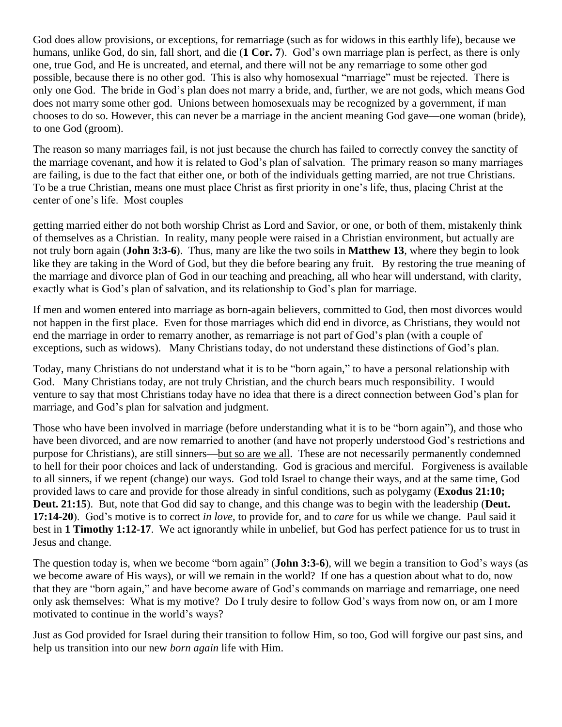God does allow provisions, or exceptions, for remarriage (such as for widows in this earthly life), because we humans, unlike God, do sin, fall short, and die (**1 Cor. 7**). God's own marriage plan is perfect, as there is only one, true God, and He is uncreated, and eternal, and there will not be any remarriage to some other god possible, because there is no other god. This is also why homosexual "marriage" must be rejected. There is only one God. The bride in God's plan does not marry a bride, and, further, we are not gods, which means God does not marry some other god. Unions between homosexuals may be recognized by a government, if man chooses to do so. However, this can never be a marriage in the ancient meaning God gave—one woman (bride), to one God (groom).

The reason so many marriages fail, is not just because the church has failed to correctly convey the sanctity of the marriage covenant, and how it is related to God's plan of salvation. The primary reason so many marriages are failing, is due to the fact that either one, or both of the individuals getting married, are not true Christians. To be a true Christian, means one must place Christ as first priority in one's life, thus, placing Christ at the center of one's life. Most couples

getting married either do not both worship Christ as Lord and Savior, or one, or both of them, mistakenly think of themselves as a Christian. In reality, many people were raised in a Christian environment, but actually are not truly born again (**John 3:3-6**). Thus, many are like the two soils in **Matthew 13**, where they begin to look like they are taking in the Word of God, but they die before bearing any fruit. By restoring the true meaning of the marriage and divorce plan of God in our teaching and preaching, all who hear will understand, with clarity, exactly what is God's plan of salvation, and its relationship to God's plan for marriage.

If men and women entered into marriage as born-again believers, committed to God, then most divorces would not happen in the first place. Even for those marriages which did end in divorce, as Christians, they would not end the marriage in order to remarry another, as remarriage is not part of God's plan (with a couple of exceptions, such as widows). Many Christians today, do not understand these distinctions of God's plan.

Today, many Christians do not understand what it is to be "born again," to have a personal relationship with God. Many Christians today, are not truly Christian, and the church bears much responsibility. I would venture to say that most Christians today have no idea that there is a direct connection between God's plan for marriage, and God's plan for salvation and judgment.

Those who have been involved in marriage (before understanding what it is to be "born again"), and those who have been divorced, and are now remarried to another (and have not properly understood God's restrictions and purpose for Christians), are still sinners—but so are we all. These are not necessarily permanently condemned to hell for their poor choices and lack of understanding. God is gracious and merciful. Forgiveness is available to all sinners, if we repent (change) our ways. God told Israel to change their ways, and at the same time, God provided laws to care and provide for those already in sinful conditions, such as polygamy (**Exodus 21:10; Deut. 21:15**). But, note that God did say to change, and this change was to begin with the leadership (**Deut. 17:14-20**). God's motive is to correct *in love*, to provide for, and to *care* for us while we change. Paul said it best in **1 Timothy 1:12-17**. We act ignorantly while in unbelief, but God has perfect patience for us to trust in Jesus and change.

The question today is, when we become "born again" (**John 3:3-6**), will we begin a transition to God's ways (as we become aware of His ways), or will we remain in the world? If one has a question about what to do, now that they are "born again," and have become aware of God's commands on marriage and remarriage, one need only ask themselves: What is my motive? Do I truly desire to follow God's ways from now on, or am I more motivated to continue in the world's ways?

Just as God provided for Israel during their transition to follow Him, so too, God will forgive our past sins, and help us transition into our new *born again* life with Him.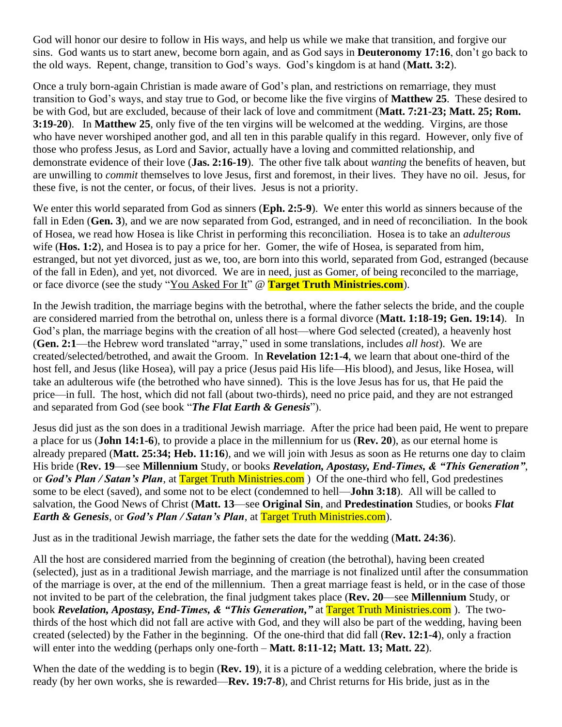God will honor our desire to follow in His ways, and help us while we make that transition, and forgive our sins. God wants us to start anew, become born again, and as God says in **Deuteronomy 17:16**, don't go back to the old ways. Repent, change, transition to God's ways. God's kingdom is at hand (**Matt. 3:2**).

Once a truly born-again Christian is made aware of God's plan, and restrictions on remarriage, they must transition to God's ways, and stay true to God, or become like the five virgins of **Matthew 25**. These desired to be with God, but are excluded, because of their lack of love and commitment (**Matt. 7:21-23; Matt. 25; Rom. 3:19-20**). In **Matthew 25**, only five of the ten virgins will be welcomed at the wedding. Virgins, are those who have never worshiped another god, and all ten in this parable qualify in this regard. However, only five of those who profess Jesus, as Lord and Savior, actually have a loving and committed relationship, and demonstrate evidence of their love (**Jas. 2:16-19**). The other five talk about *wanting* the benefits of heaven, but are unwilling to *commit* themselves to love Jesus, first and foremost, in their lives. They have no oil. Jesus, for these five, is not the center, or focus, of their lives. Jesus is not a priority.

We enter this world separated from God as sinners (**Eph. 2:5-9**). We enter this world as sinners because of the fall in Eden (**Gen. 3**), and we are now separated from God, estranged, and in need of reconciliation. In the book of Hosea, we read how Hosea is like Christ in performing this reconciliation. Hosea is to take an *adulterous* wife (**Hos. 1:2**), and Hosea is to pay a price for her. Gomer, the wife of Hosea, is separated from him, estranged, but not yet divorced, just as we, too, are born into this world, separated from God, estranged (because of the fall in Eden), and yet, not divorced. We are in need, just as Gomer, of being reconciled to the marriage, or face divorce (see the study "You Asked For It" @ **Target Truth Ministries.com**).

In the Jewish tradition, the marriage begins with the betrothal, where the father selects the bride, and the couple are considered married from the betrothal on, unless there is a formal divorce (**Matt. 1:18-19; Gen. 19:14**). In God's plan, the marriage begins with the creation of all host—where God selected (created), a heavenly host (**Gen. 2:1**—the Hebrew word translated "array," used in some translations, includes *all host*). We are created/selected/betrothed, and await the Groom. In **Revelation 12:1-4**, we learn that about one-third of the host fell, and Jesus (like Hosea), will pay a price (Jesus paid His life—His blood), and Jesus, like Hosea, will take an adulterous wife (the betrothed who have sinned). This is the love Jesus has for us, that He paid the price—in full. The host, which did not fall (about two-thirds), need no price paid, and they are not estranged and separated from God (see book "*The Flat Earth & Genesis*").

Jesus did just as the son does in a traditional Jewish marriage. After the price had been paid, He went to prepare a place for us (**John 14:1-6**), to provide a place in the millennium for us (**Rev. 20**), as our eternal home is already prepared (**Matt. 25:34; Heb. 11:16**), and we will join with Jesus as soon as He returns one day to claim His bride (**Rev. 19**—see **Millennium** Study, or books *Revelation, Apostasy, End-Times, & "This Generation"*, or *God's Plan / Satan's Plan*, at Target Truth Ministries.com ) Of the one-third who fell, God predestines some to be elect (saved), and some not to be elect (condemned to hell—**John 3:18**). All will be called to salvation, the Good News of Christ (**Matt. 13**—see **Original Sin**, and **Predestination** Studies, or books *Flat Earth & Genesis*, or *God's Plan / Satan's Plan*, at Target Truth Ministries.com).

Just as in the traditional Jewish marriage, the father sets the date for the wedding (**Matt. 24:36**).

All the host are considered married from the beginning of creation (the betrothal), having been created (selected), just as in a traditional Jewish marriage, and the marriage is not finalized until after the consummation of the marriage is over, at the end of the millennium. Then a great marriage feast is held, or in the case of those not invited to be part of the celebration, the final judgment takes place (**Rev. 20**—see **Millennium** Study, or book *Revelation, Apostasy, End-Times, & "This Generation,"* at Target Truth Ministries.com ). The twothirds of the host which did not fall are active with God, and they will also be part of the wedding, having been created (selected) by the Father in the beginning. Of the one-third that did fall (**Rev. 12:1-4**), only a fraction will enter into the wedding (perhaps only one-forth – **Matt. 8:11-12; Matt. 13; Matt. 22**).

When the date of the wedding is to begin (**Rev. 19**), it is a picture of a wedding celebration, where the bride is ready (by her own works, she is rewarded—**Rev. 19:7-8**), and Christ returns for His bride, just as in the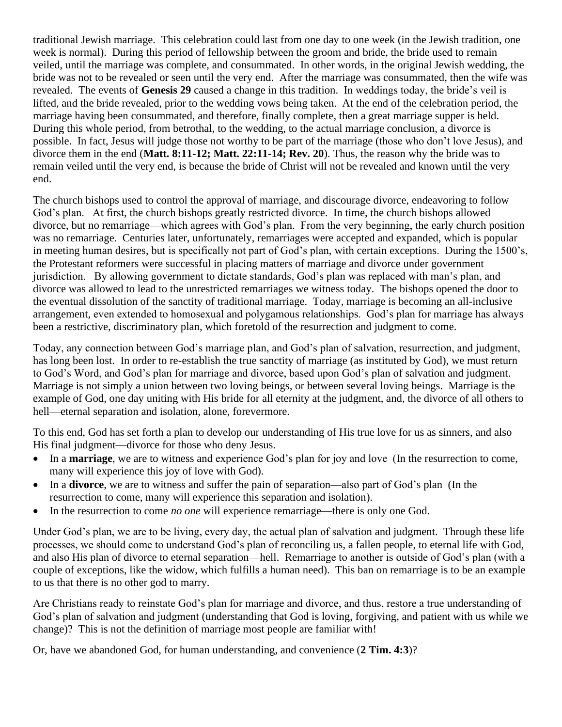traditional Jewish marriage. This celebration could last from one day to one week (in the Jewish tradition, one week is normal). During this period of fellowship between the groom and bride, the bride used to remain veiled, until the marriage was complete, and consummated. In other words, in the original Jewish wedding, the bride was not to be revealed or seen until the very end. After the marriage was consummated, then the wife was revealed. The events of **Genesis 29** caused a change in this tradition. In weddings today, the bride's veil is lifted, and the bride revealed, prior to the wedding vows being taken. At the end of the celebration period, the marriage having been consummated, and therefore, finally complete, then a great marriage supper is held. During this whole period, from betrothal, to the wedding, to the actual marriage conclusion, a divorce is possible. In fact, Jesus will judge those not worthy to be part of the marriage (those who don't love Jesus), and divorce them in the end (**Matt. 8:11-12; Matt. 22:11-14; Rev. 20**). Thus, the reason why the bride was to remain veiled until the very end, is because the bride of Christ will not be revealed and known until the very end.

The church bishops used to control the approval of marriage, and discourage divorce, endeavoring to follow God's plan. At first, the church bishops greatly restricted divorce. In time, the church bishops allowed divorce, but no remarriage—which agrees with God's plan. From the very beginning, the early church position was no remarriage. Centuries later, unfortunately, remarriages were accepted and expanded, which is popular in meeting human desires, but is specifically not part of God's plan, with certain exceptions. During the 1500's, the Protestant reformers were successful in placing matters of marriage and divorce under government jurisdiction. By allowing government to dictate standards, God's plan was replaced with man's plan, and divorce was allowed to lead to the unrestricted remarriages we witness today. The bishops opened the door to the eventual dissolution of the sanctity of traditional marriage. Today, marriage is becoming an all-inclusive arrangement, even extended to homosexual and polygamous relationships. God's plan for marriage has always been a restrictive, discriminatory plan, which foretold of the resurrection and judgment to come.

Today, any connection between God's marriage plan, and God's plan of salvation, resurrection, and judgment, has long been lost. In order to re-establish the true sanctity of marriage (as instituted by God), we must return to God's Word, and God's plan for marriage and divorce, based upon God's plan of salvation and judgment. Marriage is not simply a union between two loving beings, or between several loving beings. Marriage is the example of God, one day uniting with His bride for all eternity at the judgment, and, the divorce of all others to hell—eternal separation and isolation, alone, forevermore.

To this end, God has set forth a plan to develop our understanding of His true love for us as sinners, and also His final judgment—divorce for those who deny Jesus.

- In a **marriage**, we are to witness and experience God's plan for joy and love (In the resurrection to come, many will experience this joy of love with God).
- In a **divorce**, we are to witness and suffer the pain of separation—also part of God's plan (In the resurrection to come, many will experience this separation and isolation).
- In the resurrection to come *no one* will experience remarriage—there is only one God.

Under God's plan, we are to be living, every day, the actual plan of salvation and judgment. Through these life processes, we should come to understand God's plan of reconciling us, a fallen people, to eternal life with God, and also His plan of divorce to eternal separation—hell. Remarriage to another is outside of God's plan (with a couple of exceptions, like the widow, which fulfills a human need). This ban on remarriage is to be an example to us that there is no other god to marry.

Are Christians ready to reinstate God's plan for marriage and divorce, and thus, restore a true understanding of God's plan of salvation and judgment (understanding that God is loving, forgiving, and patient with us while we change)? This is not the definition of marriage most people are familiar with!

Or, have we abandoned God, for human understanding, and convenience (**2 Tim. 4:3**)?